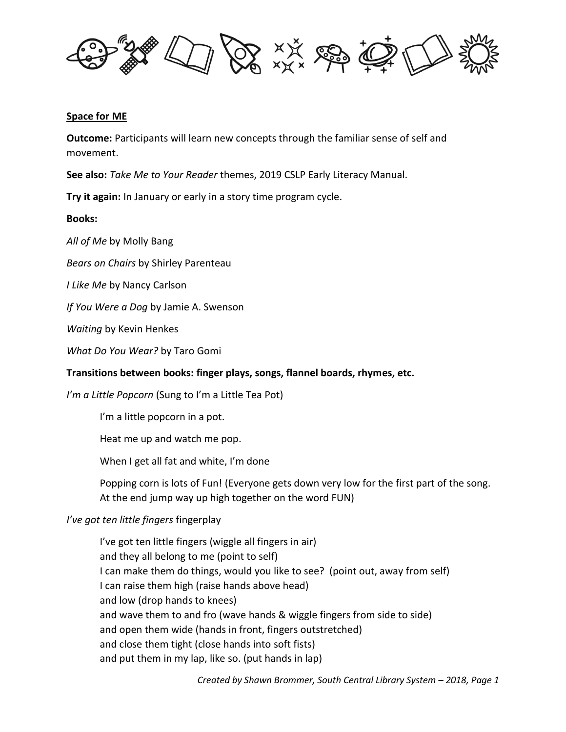

#### **Space for ME**

**Outcome:** Participants will learn new concepts through the familiar sense of self and movement.

**See also:** *Take Me to Your Reader* themes, 2019 CSLP Early Literacy Manual.

**Try it again:** In January or early in a story time program cycle.

### **Books:**

*All of Me* by Molly Bang

*Bears on Chairs* by Shirley Parenteau

*I Like Me* by Nancy Carlson

*If You Were a Dog* by Jamie A. Swenson

*Waiting* by Kevin Henkes

*What Do You Wear?* by Taro Gomi

# **Transitions between books: finger plays, songs, flannel boards, rhymes, etc.**

*I'm a Little Popcorn* (Sung to I'm a Little Tea Pot)

I'm a little popcorn in a pot.

Heat me up and watch me pop.

When I get all fat and white, I'm done

Popping corn is lots of Fun! (Everyone gets down very low for the first part of the song. At the end jump way up high together on the word FUN)

# *I've got ten little fingers* fingerplay

I've got ten little fingers (wiggle all fingers in air) and they all belong to me (point to self) I can make them do things, would you like to see? (point out, away from self) I can raise them high (raise hands above head) and low (drop hands to knees) and wave them to and fro (wave hands & wiggle fingers from side to side) and open them wide (hands in front, fingers outstretched) and close them tight (close hands into soft fists) and put them in my lap, like so. (put hands in lap)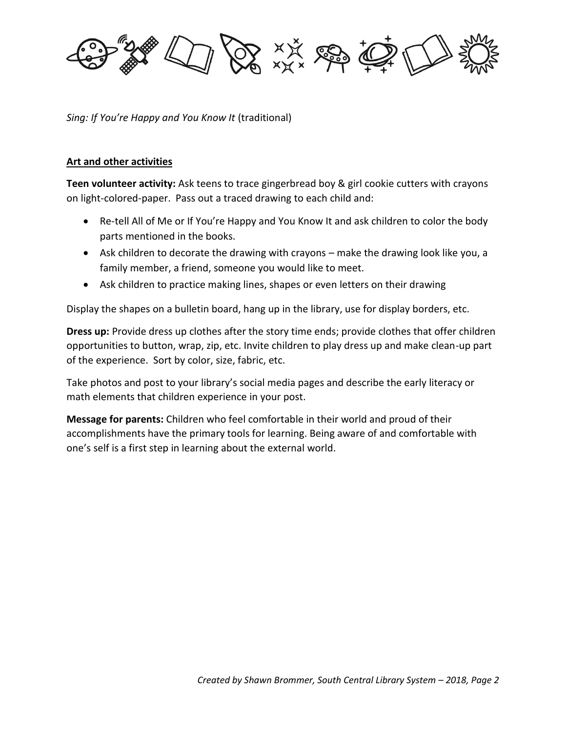**A A A A A A** 

*Sing: If You're Happy and You Know It* (traditional)

### **Art and other activities**

**Teen volunteer activity:** Ask teens to trace gingerbread boy & girl cookie cutters with crayons on light-colored-paper. Pass out a traced drawing to each child and:

- Re-tell All of Me or If You're Happy and You Know It and ask children to color the body parts mentioned in the books.
- Ask children to decorate the drawing with crayons make the drawing look like you, a family member, a friend, someone you would like to meet.
- Ask children to practice making lines, shapes or even letters on their drawing

Display the shapes on a bulletin board, hang up in the library, use for display borders, etc.

**Dress up:** Provide dress up clothes after the story time ends; provide clothes that offer children opportunities to button, wrap, zip, etc. Invite children to play dress up and make clean-up part of the experience. Sort by color, size, fabric, etc.

Take photos and post to your library's social media pages and describe the early literacy or math elements that children experience in your post.

**Message for parents:** Children who feel comfortable in their world and proud of their accomplishments have the primary tools for learning. Being aware of and comfortable with one's self is a first step in learning about the external world.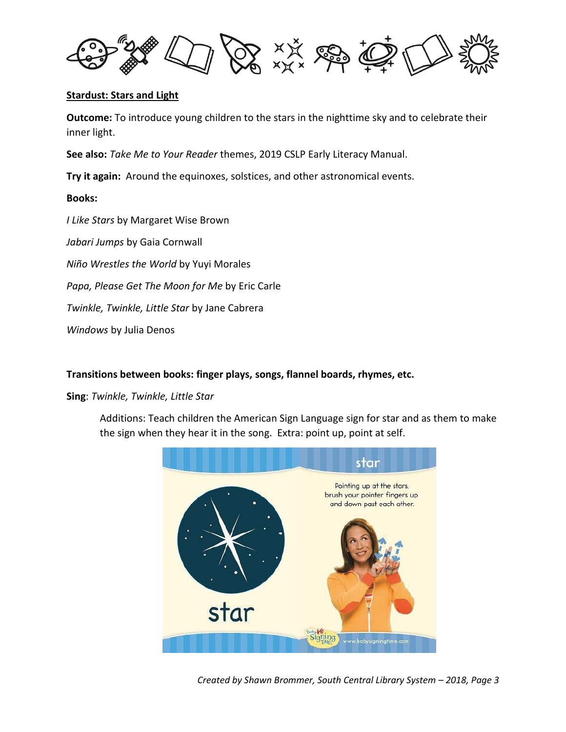

### **Stardust: Stars and Light**

**Outcome:** To introduce young children to the stars in the nighttime sky and to celebrate their inner light.

**See also:** *Take Me to Your Reader* themes, 2019 CSLP Early Literacy Manual.

**Try it again:** Around the equinoxes, solstices, and other astronomical events.

### **Books:**

*I Like Stars* by Margaret Wise Brown

*Jabari Jumps* by Gaia Cornwall

*Niño Wrestles the World* by Yuyi Morales

*Papa, Please Get The Moon for Me* by Eric Carle

*Twinkle, Twinkle, Little Star* by Jane Cabrera

*Windows* by Julia Denos

# **Transitions between books: finger plays, songs, flannel boards, rhymes, etc.**

**Sing**: *Twinkle, Twinkle, Little Star*

Additions: Teach children the American Sign Language sign for star and as them to make the sign when they hear it in the song. Extra: point up, point at self.



*Created by Shawn Brommer, South Central Library System – 2018, Page 3*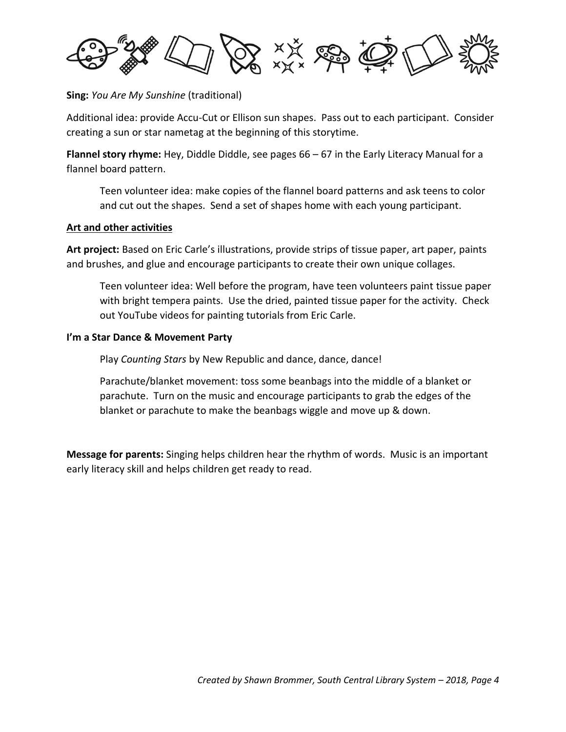

**Sing:** *You Are My Sunshine* (traditional)

Additional idea: provide Accu-Cut or Ellison sun shapes. Pass out to each participant. Consider creating a sun or star nametag at the beginning of this storytime.

**Flannel story rhyme:** Hey, Diddle Diddle, see pages 66 – 67 in the Early Literacy Manual for a flannel board pattern.

Teen volunteer idea: make copies of the flannel board patterns and ask teens to color and cut out the shapes. Send a set of shapes home with each young participant.

# **Art and other activities**

**Art project:** Based on Eric Carle's illustrations, provide strips of tissue paper, art paper, paints and brushes, and glue and encourage participants to create their own unique collages.

Teen volunteer idea: Well before the program, have teen volunteers paint tissue paper with bright tempera paints. Use the dried, painted tissue paper for the activity. Check out YouTube videos for painting tutorials from Eric Carle.

### **I'm a Star Dance & Movement Party**

Play *Counting Stars* by New Republic and dance, dance, dance!

Parachute/blanket movement: toss some beanbags into the middle of a blanket or parachute. Turn on the music and encourage participants to grab the edges of the blanket or parachute to make the beanbags wiggle and move up & down.

**Message for parents:** Singing helps children hear the rhythm of words. Music is an important early literacy skill and helps children get ready to read.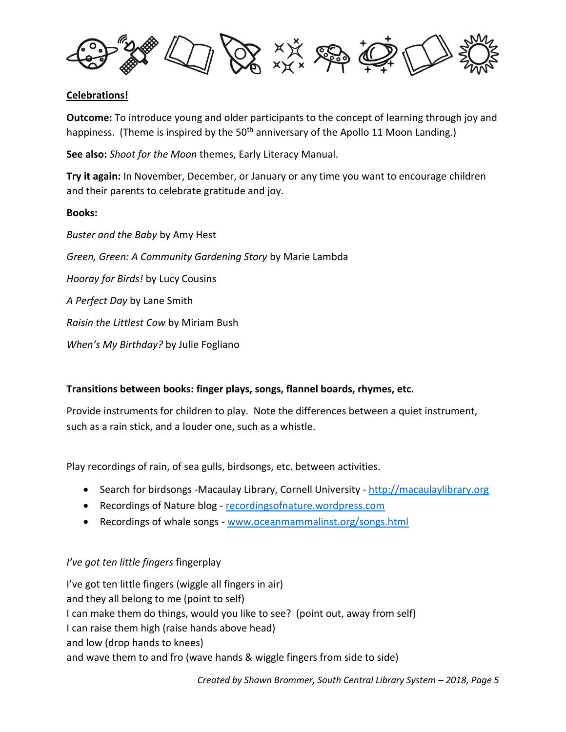

# **Celebrations!**

**Outcome:** To introduce young and older participants to the concept of learning through joy and happiness. (Theme is inspired by the 50<sup>th</sup> anniversary of the Apollo 11 Moon Landing.)

**See also:** *Shoot for the Moon* themes, Early Literacy Manual.

**Try it again:** In November, December, or January or any time you want to encourage children and their parents to celebrate gratitude and joy.

# **Books:**

*Buster and the Baby* by Amy Hest *Green, Green: A Community Gardening Story* by Marie Lambda *Hooray for Birds!* by Lucy Cousins *A Perfect Day* by Lane Smith *Raisin the Littlest Cow* by Miriam Bush *When's My Birthday?* by Julie Fogliano

# **Transitions between books: finger plays, songs, flannel boards, rhymes, etc.**

Provide instruments for children to play. Note the differences between a quiet instrument, such as a rain stick, and a louder one, such as a whistle.

Play recordings of rain, of sea gulls, birdsongs, etc. between activities.

- Search for birdsongs -Macaulay Library, Cornell University [http://macaulaylibrary.org](http://macaulaylibrary.org/)
- Recordings of Nature blog [recordingsofnature.wordpress.com](http://recordingsofnature.wordpress.com/)
- Recordings of whale songs [www.oceanmammalinst.org/songs.html](http://www.oceanmammalinst.org/songs.html)

# *I've got ten little fingers* fingerplay

I've got ten little fingers (wiggle all fingers in air) and they all belong to me (point to self) I can make them do things, would you like to see? (point out, away from self) I can raise them high (raise hands above head) and low (drop hands to knees) and wave them to and fro (wave hands & wiggle fingers from side to side)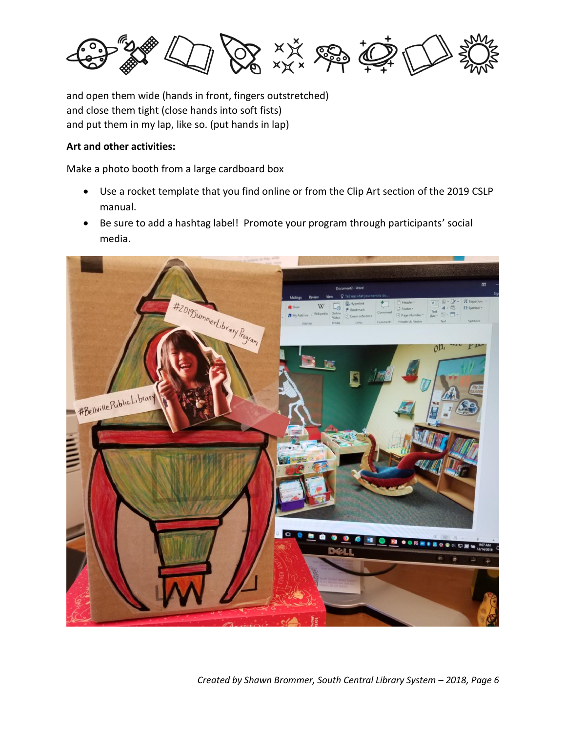

and open them wide (hands in front, fingers outstretched) and close them tight (close hands into soft fists) and put them in my lap, like so. (put hands in lap)

# **Art and other activities:**

Make a photo booth from a large cardboard box

- Use a rocket template that you find online or from the Clip Art section of the 2019 CSLP manual.
- Be sure to add a hashtag label! Promote your program through participants' social media.

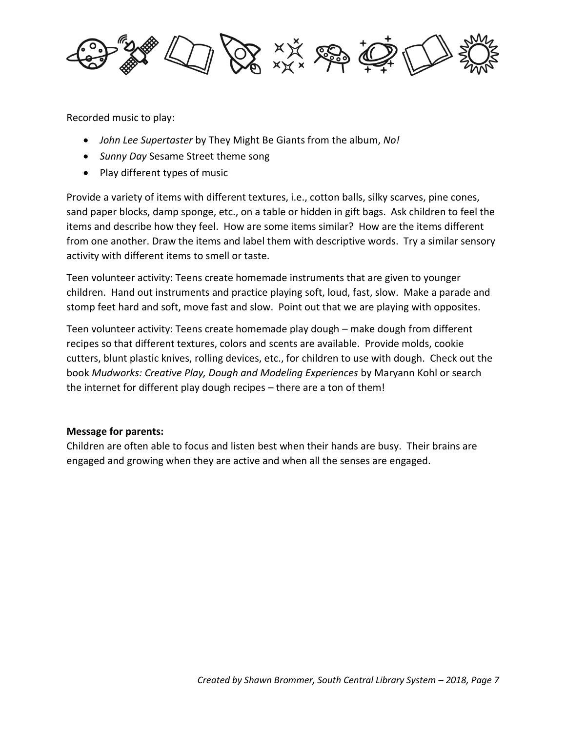

Recorded music to play:

- *John Lee Supertaster* by They Might Be Giants from the album, *No!*
- *Sunny Day* Sesame Street theme song
- Play different types of music

Provide a variety of items with different textures, i.e., cotton balls, silky scarves, pine cones, sand paper blocks, damp sponge, etc., on a table or hidden in gift bags. Ask children to feel the items and describe how they feel. How are some items similar? How are the items different from one another. Draw the items and label them with descriptive words. Try a similar sensory activity with different items to smell or taste.

Teen volunteer activity: Teens create homemade instruments that are given to younger children. Hand out instruments and practice playing soft, loud, fast, slow. Make a parade and stomp feet hard and soft, move fast and slow. Point out that we are playing with opposites.

Teen volunteer activity: Teens create homemade play dough – make dough from different recipes so that different textures, colors and scents are available. Provide molds, cookie cutters, blunt plastic knives, rolling devices, etc., for children to use with dough. Check out the book *Mudworks: Creative Play, Dough and Modeling Experiences* by Maryann Kohl or search the internet for different play dough recipes – there are a ton of them!

# **Message for parents:**

Children are often able to focus and listen best when their hands are busy. Their brains are engaged and growing when they are active and when all the senses are engaged.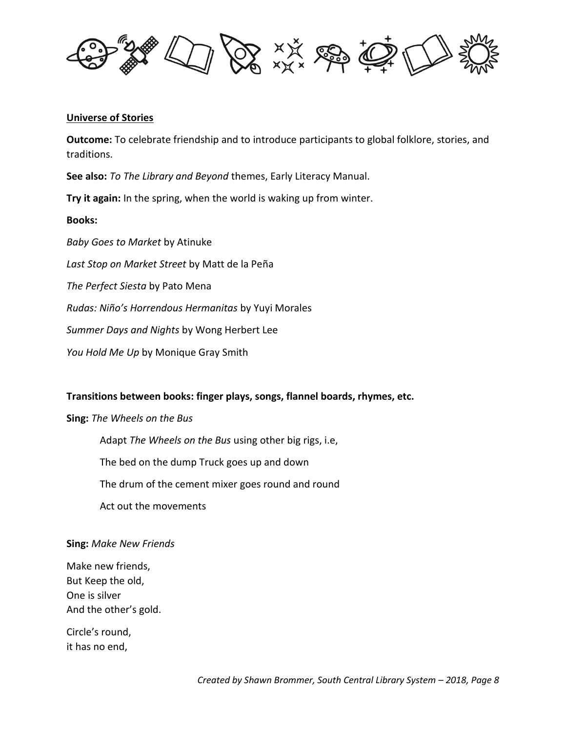

#### **Universe of Stories**

**Outcome:** To celebrate friendship and to introduce participants to global folklore, stories, and traditions.

**See also:** *To The Library and Beyond* themes, Early Literacy Manual.

**Try it again:** In the spring, when the world is waking up from winter.

#### **Books:**

*Baby Goes to Market* by Atinuke

*Last Stop on Market Street* by Matt de la Peña

*The Perfect Siesta* by Pato Mena

*Rudas: Niño's Horrendous Hermanitas* by Yuyi Morales

*Summer Days and Nights* by Wong Herbert Lee

*You Hold Me Up* by Monique Gray Smith

#### **Transitions between books: finger plays, songs, flannel boards, rhymes, etc.**

**Sing:** *The Wheels on the Bus*

Adapt *The Wheels on the Bus* using other big rigs, i.e,

The bed on the dump Truck goes up and down

The drum of the cement mixer goes round and round

Act out the movements

#### **Sing:** *Make New Friends*

Make new friends, But Keep the old, One is silver And the other's gold.

Circle's round, it has no end,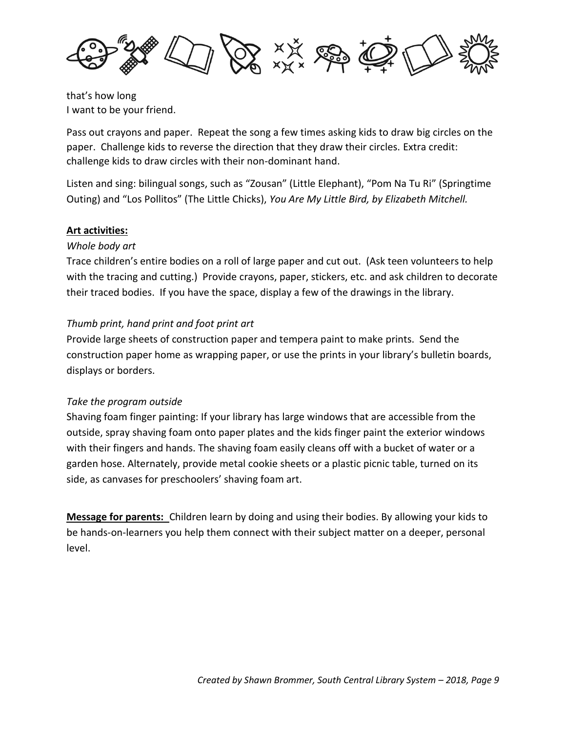

that's how long I want to be your friend.

Pass out crayons and paper. Repeat the song a few times asking kids to draw big circles on the paper. Challenge kids to reverse the direction that they draw their circles. Extra credit: challenge kids to draw circles with their non-dominant hand.

Listen and sing: bilingual songs, such as "Zousan" (Little Elephant), "Pom Na Tu Ri" (Springtime Outing) and "Los Pollitos" (The Little Chicks), *You Are My Little Bird, by Elizabeth Mitchell.*

# **Art activities:**

# *Whole body art*

Trace children's entire bodies on a roll of large paper and cut out. (Ask teen volunteers to help with the tracing and cutting.) Provide crayons, paper, stickers, etc. and ask children to decorate their traced bodies. If you have the space, display a few of the drawings in the library.

# *Thumb print, hand print and foot print art*

Provide large sheets of construction paper and tempera paint to make prints. Send the construction paper home as wrapping paper, or use the prints in your library's bulletin boards, displays or borders.

# *Take the program outside*

Shaving foam finger painting: If your library has large windows that are accessible from the outside, spray shaving foam onto paper plates and the kids finger paint the exterior windows with their fingers and hands. The shaving foam easily cleans off with a bucket of water or a garden hose. Alternately, provide metal cookie sheets or a plastic picnic table, turned on its side, as canvases for preschoolers' shaving foam art.

**Message for parents:** Children learn by doing and using their bodies. By allowing your kids to be hands-on-learners you help them connect with their subject matter on a deeper, personal level.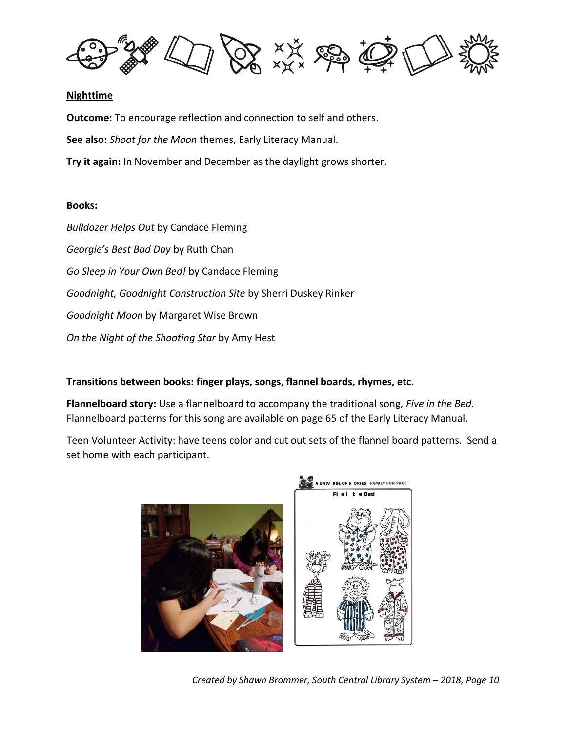

### **Nighttime**

**Outcome:** To encourage reflection and connection to self and others. **See also:** *Shoot for the Moon* themes, Early Literacy Manual. **Try it again:** In November and December as the daylight grows shorter.

### **Books:**

*Bulldozer Helps Out* by Candace Fleming *Georgie's Best Bad Day* by Ruth Chan *Go Sleep in Your Own Bed!* by Candace Fleming *Goodnight, Goodnight Construction Site* by Sherri Duskey Rinker *Goodnight Moon* by Margaret Wise Brown *On the Night of the Shooting Star* by Amy Hest

# **Transitions between books: finger plays, songs, flannel boards, rhymes, etc.**

**Flannelboard story:** Use a flannelboard to accompany the traditional song, *Five in the Bed.* Flannelboard patterns for this song are available on page 65 of the Early Literacy Manual.

Teen Volunteer Activity: have teens color and cut out sets of the flannel board patterns. Send a set home with each participant.



*Created by Shawn Brommer, South Central Library System – 2018, Page 10*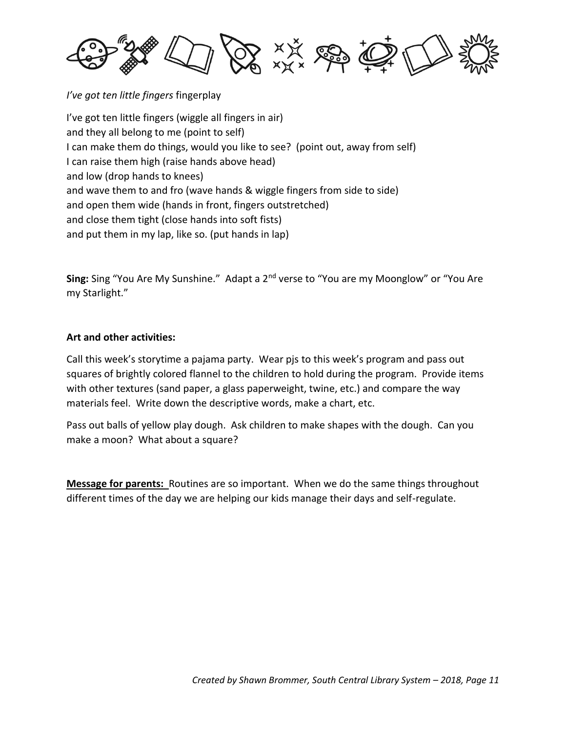黄绿鸡草

*I've got ten little fingers* fingerplay I've got ten little fingers (wiggle all fingers in air) and they all belong to me (point to self) I can make them do things, would you like to see? (point out, away from self) I can raise them high (raise hands above head) and low (drop hands to knees) and wave them to and fro (wave hands & wiggle fingers from side to side) and open them wide (hands in front, fingers outstretched) and close them tight (close hands into soft fists) and put them in my lap, like so. (put hands in lap)

**Sing:** Sing "You Are My Sunshine." Adapt a 2nd verse to "You are my Moonglow" or "You Are my Starlight."

# **Art and other activities:**

Call this week's storytime a pajama party. Wear pjs to this week's program and pass out squares of brightly colored flannel to the children to hold during the program. Provide items with other textures (sand paper, a glass paperweight, twine, etc.) and compare the way materials feel. Write down the descriptive words, make a chart, etc.

Pass out balls of yellow play dough. Ask children to make shapes with the dough. Can you make a moon? What about a square?

**Message for parents:** Routines are so important. When we do the same things throughout different times of the day we are helping our kids manage their days and self-regulate.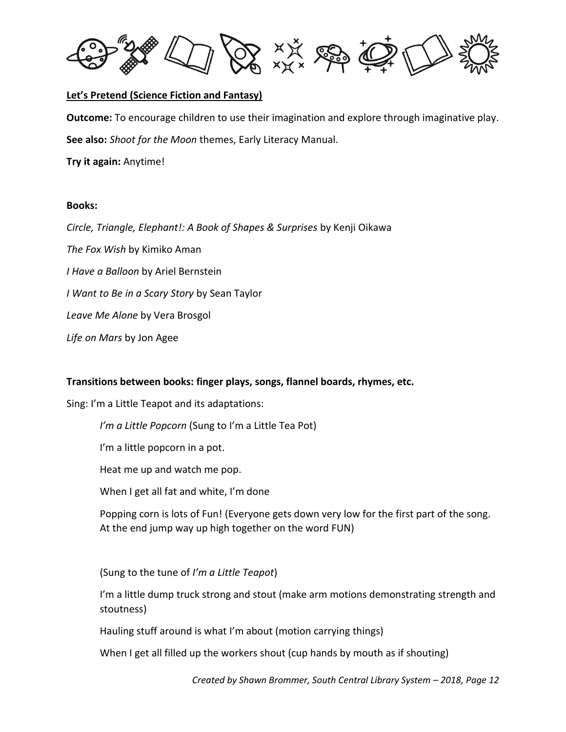

### **Let's Pretend (Science Fiction and Fantasy)**

**Outcome:** To encourage children to use their imagination and explore through imaginative play. **See also:** *Shoot for the Moon* themes, Early Literacy Manual.

**Try it again:** Anytime!

#### **Books:**

*Circle, Triangle, Elephant!: A Book of Shapes & Surprises* by Kenji Oikawa

*The Fox Wish* by Kimiko Aman

*I Have a Balloon* by Ariel Bernstein

*I Want to Be in a Scary Story* by Sean Taylor

*Leave Me Alone* by Vera Brosgol

*Life on Mars* by Jon Agee

#### **Transitions between books: finger plays, songs, flannel boards, rhymes, etc.**

Sing: I'm a Little Teapot and its adaptations:

*I'm a Little Popcorn* (Sung to I'm a Little Tea Pot)

I'm a little popcorn in a pot.

Heat me up and watch me pop.

When I get all fat and white, I'm done

Popping corn is lots of Fun! (Everyone gets down very low for the first part of the song. At the end jump way up high together on the word FUN)

(Sung to the tune of *I'm a Little Teapot*)

I'm a little dump truck strong and stout (make arm motions demonstrating strength and stoutness)

Hauling stuff around is what I'm about (motion carrying things)

When I get all filled up the workers shout (cup hands by mouth as if shouting)